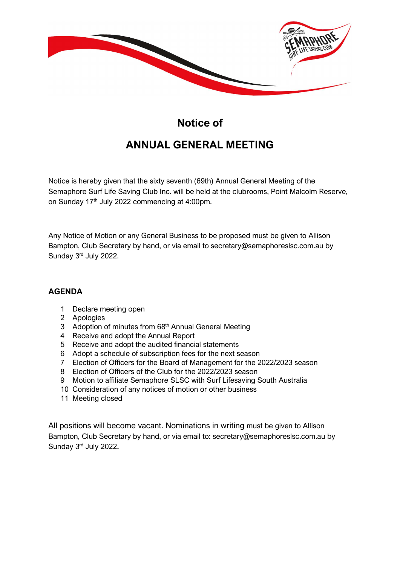

## Notice of ANNUAL GENERAL MEETING

Notice is hereby given that the sixty seventh (69th) Annual General Meeting of the Semaphore Surf Life Saving Club Inc. will be held at the clubrooms, Point Malcolm Reserve, on Sunday 17<sup>th</sup> July 2022 commencing at 4:00pm.

Any Notice of Motion or any General Business to be proposed must be given to Allison Bampton, Club Secretary by hand, or via email to secretary@semaphoreslsc.com.au by Sunday 3rd July 2022.

## AGENDA

- 1 Declare meeting open
- 2 Apologies
- 3 Adoption of minutes from 68<sup>th</sup> Annual General Meeting
- 4 Receive and adopt the Annual Report
- 5 Receive and adopt the audited financial statements
- 6 Adopt a schedule of subscription fees for the next season
- 7 Election of Officers for the Board of Management for the 2022/2023 season
- 8 Election of Officers of the Club for the 2022/2023 season
- 9 Motion to affiliate Semaphore SLSC with Surf Lifesaving South Australia
- 10 Consideration of any notices of motion or other business
- 11 Meeting closed

All positions will become vacant. Nominations in writing must be given to Allison Bampton, Club Secretary by hand, or via email to: secretary@semaphoreslsc.com.au by Sunday 3rd July 2022.